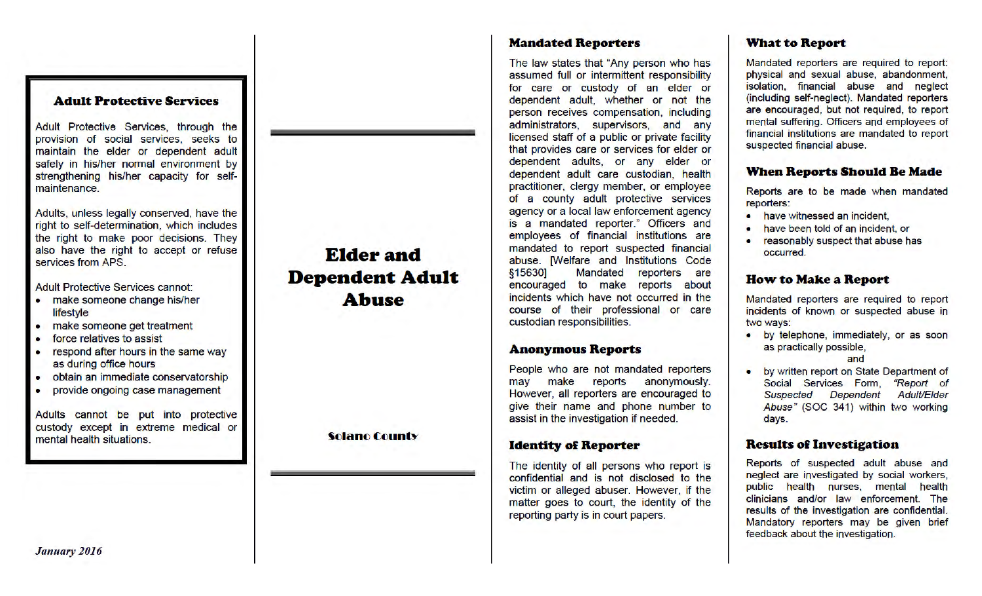#### **Adult Protective Services**

Adult Protective Services, through the provision of social services, seeks to maintain the elder or dependent adult safely in his/her normal environment by strengthening his/her capacity for selfmaintenance.

Adults, unless legally conserved, have the right to self-determination, which includes the right to make poor decisions. They also have the right to accept or refuse services from APS.

Adult Protective Services cannot:

- make someone change his/her lifestyle
- make someone get treatment
- force relatives to assist
- respond after hours in the same way as during office hours
- obtain an immediate conservatorship
- provide ongoing case management

Adults cannot be put into protective custody except in extreme medical or mental health situations.

**Elder and Dependent Adult Abuse** 

**Solano County** 

## **Mandated Reporters**

The law states that "Any person who has assumed full or intermittent responsibility for care or custody of an elder or dependent adult, whether or not the person receives compensation, including administrators, supervisors, and any licensed staff of a public or private facility that provides care or services for elder or dependent adults, or any elder or dependent adult care custodian, health practitioner, clergy member, or employee of a county adult protective services agency or a local law enforcement agency is a mandated reporter." Officers and employees of financial institutions are mandated to report suspected financial abuse. [Welfare and Institutions Code § 15630] Mandated reporters are encouraged to make reports about incidents which have not occurred in the course of their professional or care custodian responsibilities.

## **Anonymous Reports**

People who are not mandated reporters may make reports anonymously. However, all reporters are encouraged to give their name and phone number to assist in the investigation if needed.

## **Identity of Reporter**

The identity of all persons who report is confidential and is not disclosed to the victim or alleged abuser. However, if the matter goes to court, the identity of the reporting party is in court papers.

# **What to Report**

Mandated reporters are required to report: physical and sexual abuse, abandonment, isolation, financial abuse and neglect (including self-neglect). Mandated reporters are encouraged, but not required, to report mental suffering. Officers and employees of financial institutions are mandated to report suspected financial abuse.

## **When Reports Should Be Made**

Reports are to be made when mandated reporters:

- have witnessed an incident,
- have been told of an incident, or
- reasonably suspect that abuse has occurred.

## **How to Make a Report**

Mandated reporters are required to report incidents of known or suspected abuse in two ways:

- by telephone, immediately, or as soon as practically possible, and
	- by written report on State Department of Social Services Form, "Report of Suspected Dependent Adult/Elder Abuse" (SOC 341) within two working

#### **Results of Investigation**

days.

Reports of suspected adult abuse and neglect are investigated by social workers, public health nurses, mental health clinicians and/or law enforcement. The results of the investigation are confidential. Mandatory reporters may be given brief feedback about the investigation.